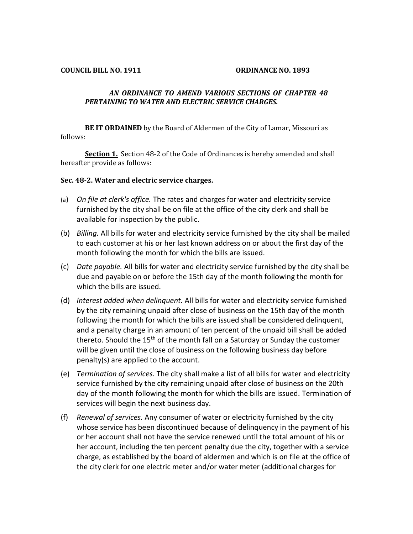## *AN ORDINANCE TO AMEND VARIOUS SECTIONS OF CHAPTER 48 PERTAINING TO WATER AND ELECTRIC SERVICE CHARGES.*

**BE IT ORDAINED** by the Board of Aldermen of the City of Lamar, Missouri as follows:

**Section 1.** Section 48-2 of the Code of Ordinances is hereby amended and shall hereafter provide as follows:

## **Sec. 48-2. Water and electric service charges.**

- (a) *On file at clerk's office.* The rates and charges for water and electricity service furnished by the city shall be on file at the office of the city clerk and shall be available for inspection by the public.
- (b) *Billing.* All bills for water and electricity service furnished by the city shall be mailed to each customer at his or her last known address on or about the first day of the month following the month for which the bills are issued.
- (c) *Date payable.* All bills for water and electricity service furnished by the city shall be due and payable on or before the 15th day of the month following the month for which the bills are issued.
- (d) *Interest added when delinquent.* All bills for water and electricity service furnished by the city remaining unpaid after close of business on the 15th day of the month following the month for which the bills are issued shall be considered delinquent, and a penalty charge in an amount of ten percent of the unpaid bill shall be added thereto. Should the 15<sup>th</sup> of the month fall on a Saturday or Sunday the customer will be given until the close of business on the following business day before penalty(s) are applied to the account.
- (e) *Termination of services.* The city shall make a list of all bills for water and electricity service furnished by the city remaining unpaid after close of business on the 20th day of the month following the month for which the bills are issued. Termination of services will begin the next business day.
- (f) *Renewal of services.* Any consumer of water or electricity furnished by the city whose service has been discontinued because of delinquency in the payment of his or her account shall not have the service renewed until the total amount of his or her account, including the ten percent penalty due the city, together with a service charge, as established by the board of aldermen and which is on file at the office of the city clerk for one electric meter and/or water meter (additional charges for